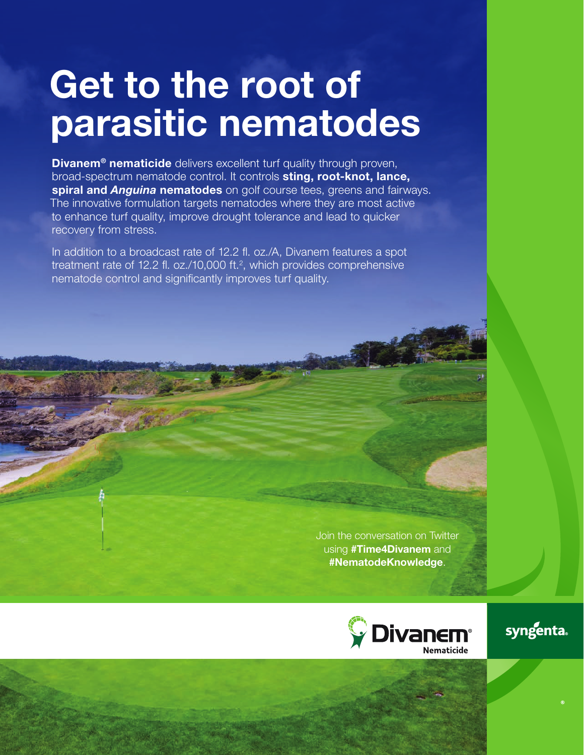# Get to the root of parasitic nematodes

**Divanem<sup>®</sup> nematicide** delivers excellent turf quality through proven, broad-spectrum nematode control. It controls sting, root-knot, lance, spiral and *Anguina* nematodes on golf course tees, greens and fairways. The innovative formulation targets nematodes where they are most active to enhance turf quality, improve drought tolerance and lead to quicker recovery from stress.

In addition to a broadcast rate of 12.2 fl. oz./A, Divanem features a spot treatment rate of 12.2 fl. oz./10,000 ft.<sup>2</sup>, which provides comprehensive nematode control and significantly improves turf quality.

> Join the conversation on Twitter using #Time4Divanem and #NematodeKnowledge.



syngenta.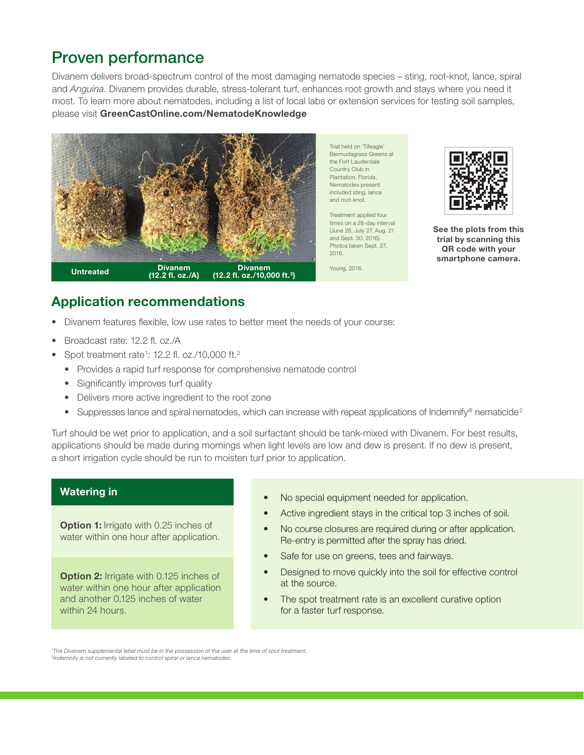#### Proven performance

Divanem delivers broad-spectrum control of the most damaging nematode species – sting, root-knot, lance, spiral and *Anguina*. Divanem provides durable, stress-tolerant turf, enhances root growth and stays where you need it most. To learn more about nematodes, including a list of local labs or extension services for testing soil samples, please visit GreenCastOnline.com/NematodeKnowledge



Trial held on 'Tifeagle' Bermudagrass Greens at the Fort Lauderdale Country Club in Plantation, Florida. Nematodes present included sting, lance and root-knot.

Treatment applied four times on a 28-day interval (June 26, July 27, Aug. 21 and Sept. 30, 2016). Photos taken Sept. 27, 2016.

Young, 2016.



See the plots from this trial by scanning this QR code with your smartphone camera.

#### Application recommendations

- Divanem features flexible, low use rates to better meet the needs of your course:
- Broadcast rate: 12.2 fl. oz./A
- Spot treatment rate<sup>1</sup>: 12.2 fl. oz./10,000 ft.<sup>2</sup>
	- Provides a rapid turf response for comprehensive nematode control
	- Significantly improves turf quality
	- Delivers more active ingredient to the root zone
	- Suppresses lance and spiral nematodes, which can increase with repeat applications of Indemnify® nematicide<sup>2</sup>

Turf should be wet prior to application, and a soil surfactant should be tank-mixed with Divanem. For best results, applications should be made during mornings when light levels are low and dew is present. If no dew is present, a short irrigation cycle should be run to moisten turf prior to application.

#### Watering in

**Option 1:** Irrigate with 0.25 inches of water within one hour after application.

**Option 2: Irrigate with 0.125 inches of** water within one hour after application and another 0.125 inches of water within 24 hours.

- No special equipment needed for application.
- Active ingredient stays in the critical top 3 inches of soil.
- No course closures are required during or after application. Re-entry is permitted after the spray has dried.
- Safe for use on greens, tees and fairways.
- Designed to move quickly into the soil for effective control at the source.
- The spot treatment rate is an excellent curative option for a faster turf response.

1 *The Divanem supplemental label must be in the possession of the user at the time of spot treatment.*  <sup>2</sup>*Indemnify is not currently labeled to control spiral or lance nematodes.*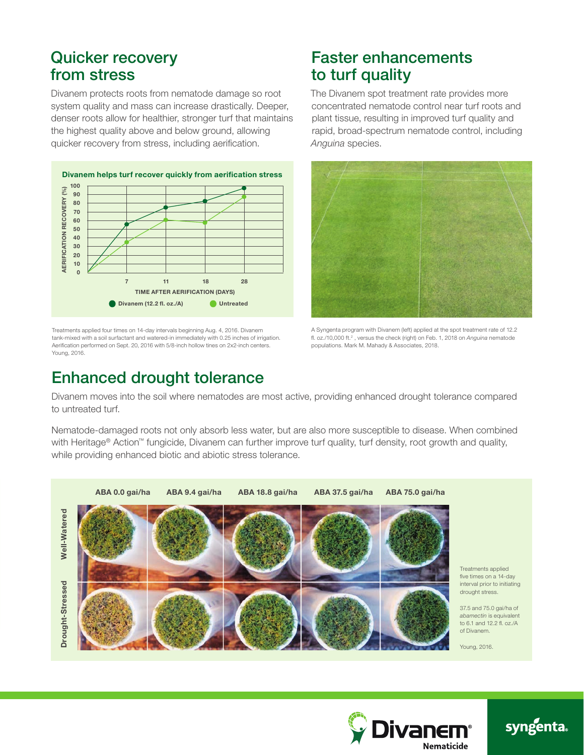#### Quicker recovery from stress

Divanem protects roots from nematode damage so root system quality and mass can increase drastically. Deeper, denser roots allow for healthier, stronger turf that maintains the highest quality above and below ground, allowing quicker recovery from stress, including aerification.



Treatments applied four times on 14-day intervals beginning Aug. 4, 2016. Divanem tank-mixed with a soil surfactant and watered-in immediately with 0.25 inches of irrigation. Aerification performed on Sept. 20, 2016 with 5/8-inch hollow tines on 2x2-inch centers. Young, 2016.

### Faster enhancements to turf quality

The Divanem spot treatment rate provides more concentrated nematode control near turf roots and plant tissue, resulting in improved turf quality and rapid, broad-spectrum nematode control, including *Anguina* species.



A Syngenta program with Divanem (left) applied at the spot treatment rate of 12.2 fl. oz./10,000 ft.<sup>2</sup>, versus the check (right) on Feb. 1, 2018 on *Anguina* nematode populations. Mark M. Mahady & Associates, 2018.

#### Enhanced drought tolerance

Divanem moves into the soil where nematodes are most active, providing enhanced drought tolerance compared to untreated turf.

Nematode-damaged roots not only absorb less water, but are also more susceptible to disease. When combined with Heritage® Action™ fungicide, Divanem can further improve turf quality, turf density, root growth and quality, while providing enhanced biotic and abiotic stress tolerance.





## syngenta.